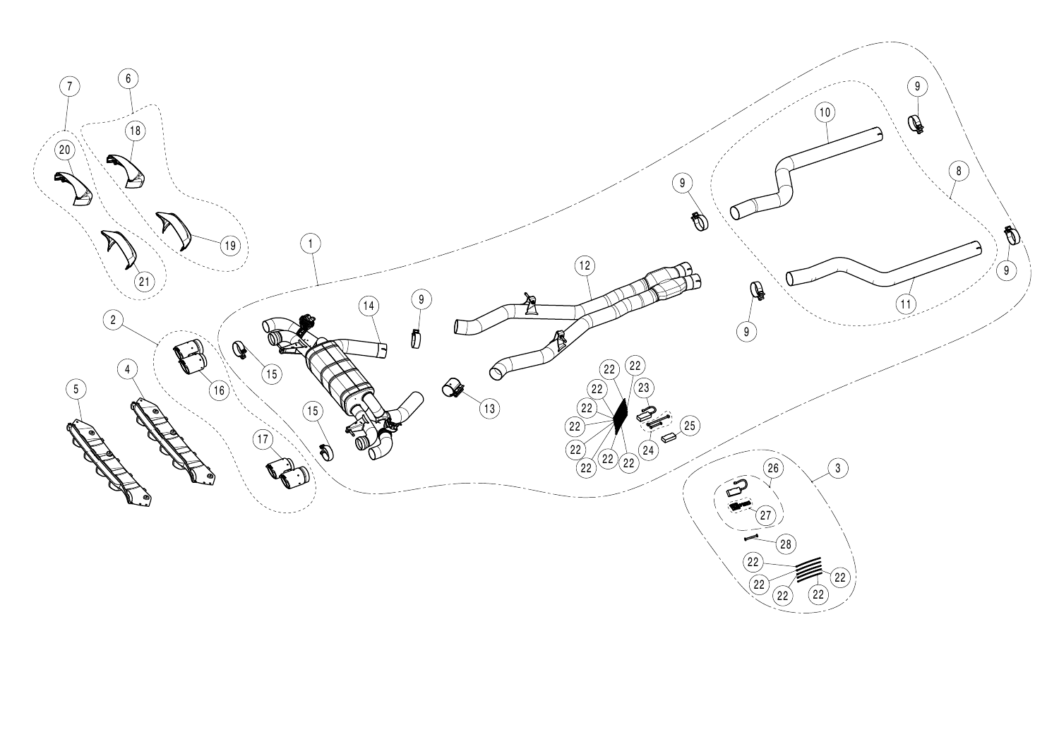